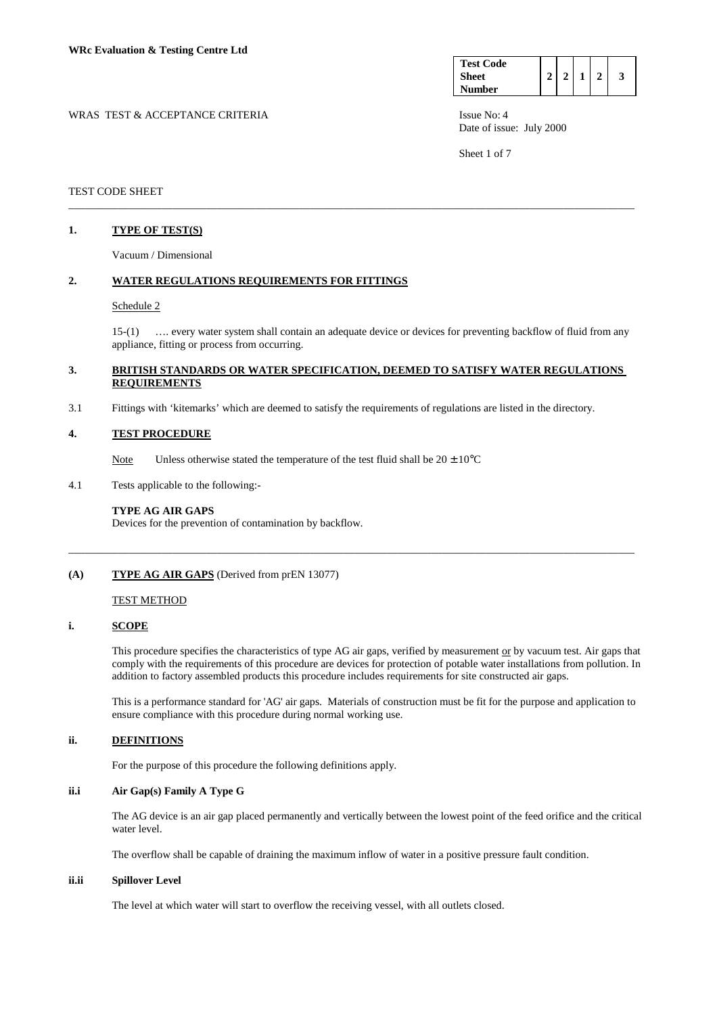| <b>Test Code</b> |  |  |  |
|------------------|--|--|--|
| Sheet            |  |  |  |
| <b>Number</b>    |  |  |  |

WRAS TEST & ACCEPTANCE CRITERIA ISSUE No: 4 Date of issue: July 2000

Sheet 1 of 7

## TEST CODE SHEET

# **1. TYPE OF TEST(S)**

Vacuum / Dimensional

## **2. WATER REGULATIONS REQUIREMENTS FOR FITTINGS**

#### Schedule 2

 15-(1) …. every water system shall contain an adequate device or devices for preventing backflow of fluid from any appliance, fitting or process from occurring.

## **3. BRITISH STANDARDS OR WATER SPECIFICATION, DEEMED TO SATISFY WATER REGULATIONS REQUIREMENTS**

\_\_\_\_\_\_\_\_\_\_\_\_\_\_\_\_\_\_\_\_\_\_\_\_\_\_\_\_\_\_\_\_\_\_\_\_\_\_\_\_\_\_\_\_\_\_\_\_\_\_\_\_\_\_\_\_\_\_\_\_\_\_\_\_\_\_\_\_\_\_\_\_\_\_\_\_\_\_\_\_\_\_\_\_\_\_\_\_\_\_\_\_\_\_\_\_\_\_\_\_\_\_\_

\_\_\_\_\_\_\_\_\_\_\_\_\_\_\_\_\_\_\_\_\_\_\_\_\_\_\_\_\_\_\_\_\_\_\_\_\_\_\_\_\_\_\_\_\_\_\_\_\_\_\_\_\_\_\_\_\_\_\_\_\_\_\_\_\_\_\_\_\_\_\_\_\_\_\_\_\_\_\_\_\_\_\_\_\_\_\_\_\_\_\_\_\_\_\_\_\_\_\_\_\_\_\_

3.1 Fittings with 'kitemarks' which are deemed to satisfy the requirements of regulations are listed in the directory.

## **4. TEST PROCEDURE**

Note Unless otherwise stated the temperature of the test fluid shall be  $20 \pm 10^{\circ}$ C

4.1 Tests applicable to the following:-

#### **TYPE AG AIR GAPS**

Devices for the prevention of contamination by backflow.

## **(A) TYPE AG AIR GAPS** (Derived from prEN 13077)

## **TEST METHOD**

### **i. SCOPE**

This procedure specifies the characteristics of type AG air gaps, verified by measurement or by vacuum test. Air gaps that comply with the requirements of this procedure are devices for protection of potable water installations from pollution. In addition to factory assembled products this procedure includes requirements for site constructed air gaps.

 This is a performance standard for 'AG' air gaps. Materials of construction must be fit for the purpose and application to ensure compliance with this procedure during normal working use.

## **ii. DEFINITIONS**

For the purpose of this procedure the following definitions apply.

# **ii.i Air Gap(s) Family A Type G**

 The AG device is an air gap placed permanently and vertically between the lowest point of the feed orifice and the critical water level.

The overflow shall be capable of draining the maximum inflow of water in a positive pressure fault condition.

## **ii.ii Spillover Level**

The level at which water will start to overflow the receiving vessel, with all outlets closed.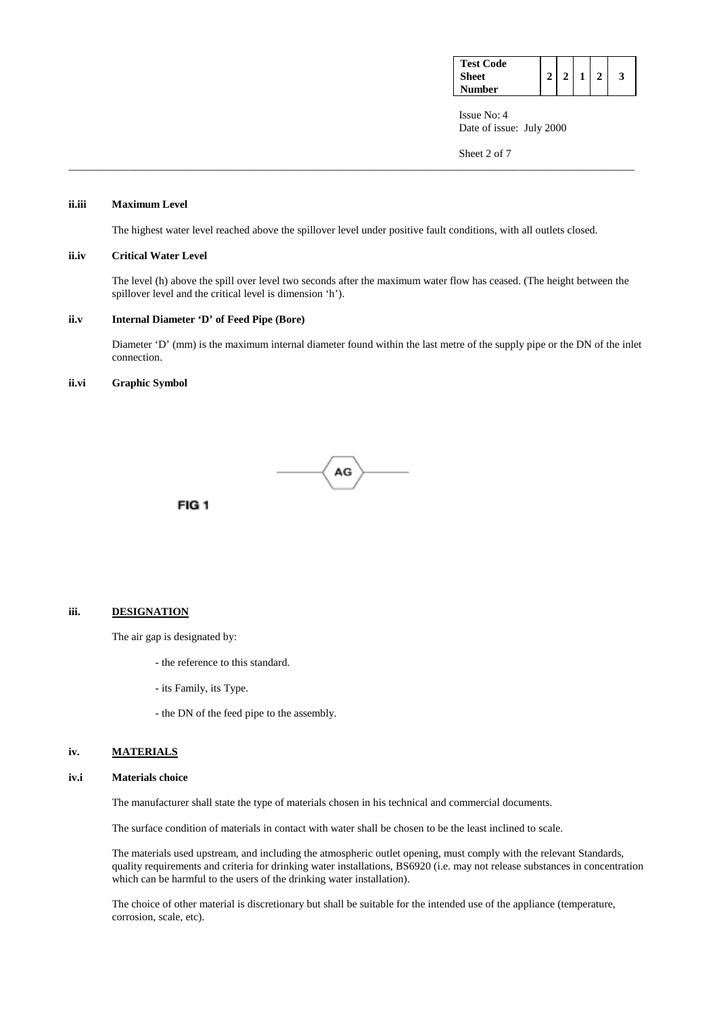| <b>Test Code</b> |  |  |  |
|------------------|--|--|--|
| Sheet            |  |  |  |
| Number           |  |  |  |

Sheet 2 of 7

## **ii.iii Maximum Level**

The highest water level reached above the spillover level under positive fault conditions, with all outlets closed.

\_\_\_\_\_\_\_\_\_\_\_\_\_\_\_\_\_\_\_\_\_\_\_\_\_\_\_\_\_\_\_\_\_\_\_\_\_\_\_\_\_\_\_\_\_\_\_\_\_\_\_\_\_\_\_\_\_\_\_\_\_\_\_\_\_\_\_\_\_\_\_\_\_\_\_\_\_\_\_\_\_\_\_\_\_\_\_\_\_\_\_\_\_\_\_\_\_\_\_\_\_\_\_

#### **ii.iv Critical Water Level**

The level (h) above the spill over level two seconds after the maximum water flow has ceased. (The height between the spillover level and the critical level is dimension 'h').

#### **ii.v Internal Diameter 'D' of Feed Pipe (Bore)**

Diameter 'D' (mm) is the maximum internal diameter found within the last metre of the supply pipe or the DN of the inlet connection.

#### **ii.vi Graphic Symbol**



# **iii. DESIGNATION**

The air gap is designated by:

FIG<sub>1</sub>

- the reference to this standard.
- its Family, its Type.
- the DN of the feed pipe to the assembly.

## **iv. MATERIALS**

#### **iv.i Materials choice**

The manufacturer shall state the type of materials chosen in his technical and commercial documents.

The surface condition of materials in contact with water shall be chosen to be the least inclined to scale.

 The materials used upstream, and including the atmospheric outlet opening, must comply with the relevant Standards, quality requirements and criteria for drinking water installations, BS6920 (i.e. may not release substances in concentration which can be harmful to the users of the drinking water installation).

 The choice of other material is discretionary but shall be suitable for the intended use of the appliance (temperature, corrosion, scale, etc).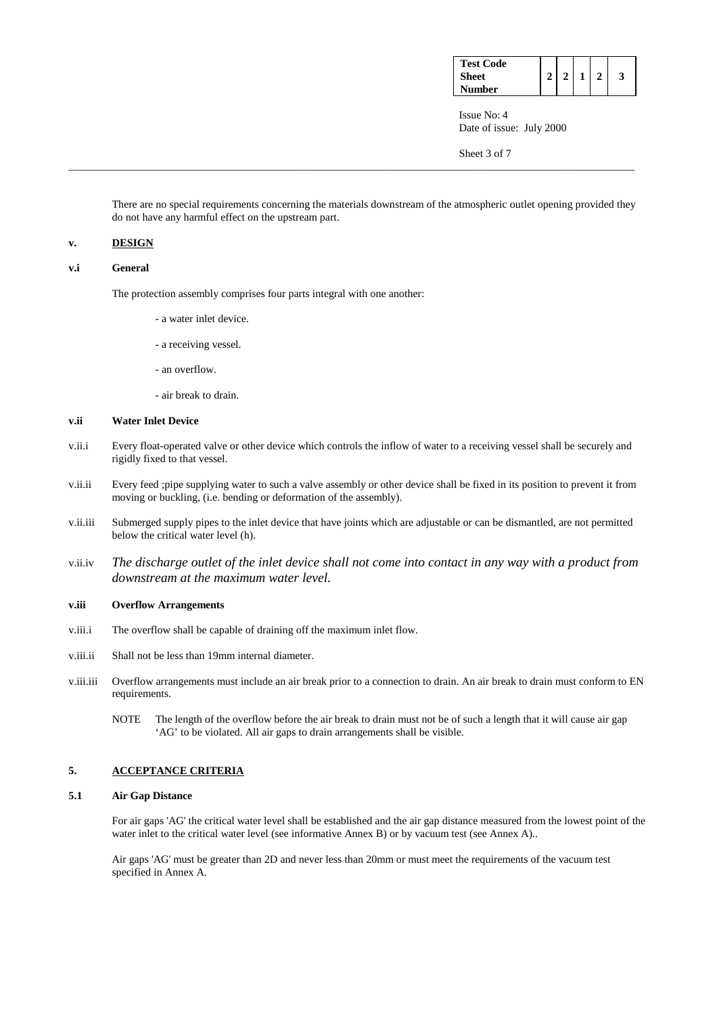| <b>Test Code</b> |   |  |  |
|------------------|---|--|--|
| Sheet            | ↑ |  |  |
| Number           |   |  |  |

Sheet 3 of 7

 There are no special requirements concerning the materials downstream of the atmospheric outlet opening provided they do not have any harmful effect on the upstream part.

\_\_\_\_\_\_\_\_\_\_\_\_\_\_\_\_\_\_\_\_\_\_\_\_\_\_\_\_\_\_\_\_\_\_\_\_\_\_\_\_\_\_\_\_\_\_\_\_\_\_\_\_\_\_\_\_\_\_\_\_\_\_\_\_\_\_\_\_\_\_\_\_\_\_\_\_\_\_\_\_\_\_\_\_\_\_\_\_\_\_\_\_\_\_\_\_\_\_\_\_\_\_\_

## **v. DESIGN**

**v.i General** 

The protection assembly comprises four parts integral with one another:

- a water inlet device.
- a receiving vessel.
- an overflow.
- air break to drain.

## **v.ii Water Inlet Device**

- v.ii.i Every float-operated valve or other device which controls the inflow of water to a receiving vessel shall be securely and rigidly fixed to that vessel.
- v.ii.ii Every feed ;pipe supplying water to such a valve assembly or other device shall be fixed in its position to prevent it from moving or buckling, (i.e. bending or deformation of the assembly).
- v.ii.iii Submerged supply pipes to the inlet device that have joints which are adjustable or can be dismantled, are not permitted below the critical water level (h).
- v.ii.iv *The discharge outlet of the inlet device shall not come into contact in any way with a product from downstream at the maximum water level.*

#### **v.iii Overflow Arrangements**

- v.iii.i The overflow shall be capable of draining off the maximum inlet flow.
- v.iii.ii Shall not be less than 19mm internal diameter.
- v.iii.iii Overflow arrangements must include an air break prior to a connection to drain. An air break to drain must conform to EN requirements.
	- NOTE The length of the overflow before the air break to drain must not be of such a length that it will cause air gap 'AG' to be violated. All air gaps to drain arrangements shall be visible.

# **5. ACCEPTANCE CRITERIA**

## **5.1 Air Gap Distance**

 For air gaps 'AG' the critical water level shall be established and the air gap distance measured from the lowest point of the water inlet to the critical water level (see informative Annex B) or by vacuum test (see Annex A)..

 Air gaps 'AG' must be greater than 2D and never less than 20mm or must meet the requirements of the vacuum test specified in Annex A.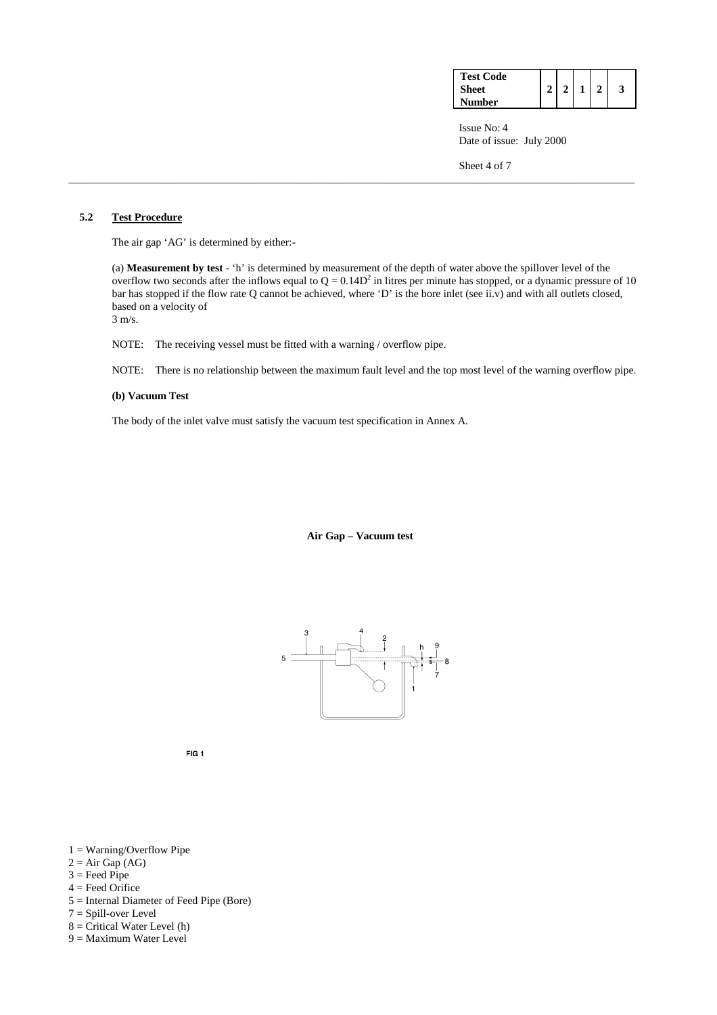| <b>Test Code</b> |  |  |  |
|------------------|--|--|--|
| <b>Sheet</b>     |  |  |  |
| <b>Number</b>    |  |  |  |

Sheet 4 of 7

# **5.2 Test Procedure**

The air gap 'AG' is determined by either:-

 (a) **Measurement by test** - 'h' is determined by measurement of the depth of water above the spillover level of the overflow two seconds after the inflows equal to  $Q = 0.14D^2$  in litres per minute has stopped, or a dynamic pressure of 10 bar has stopped if the flow rate Q cannot be achieved, where 'D' is the bore inlet (see ii.v) and with all outlets closed, based on a velocity of 3 m/s.

\_\_\_\_\_\_\_\_\_\_\_\_\_\_\_\_\_\_\_\_\_\_\_\_\_\_\_\_\_\_\_\_\_\_\_\_\_\_\_\_\_\_\_\_\_\_\_\_\_\_\_\_\_\_\_\_\_\_\_\_\_\_\_\_\_\_\_\_\_\_\_\_\_\_\_\_\_\_\_\_\_\_\_\_\_\_\_\_\_\_\_\_\_\_\_\_\_\_\_\_\_\_\_

NOTE: The receiving vessel must be fitted with a warning / overflow pipe.

NOTE: There is no relationship between the maximum fault level and the top most level of the warning overflow pipe.

#### **(b) Vacuum Test**

The body of the inlet valve must satisfy the vacuum test specification in Annex A.

 **Air Gap – Vacuum test** 



FIG<sub>1</sub>

- $1 = Warning/Overflow$  Pipe
- $2 = Air Gap(AG)$
- $3 =$  Feed Pipe
- $4 =$  Feed Orifice
- 5 = Internal Diameter of Feed Pipe (Bore)
- 7 = Spill-over Level
- $8 =$  Critical Water Level (h) 9 = Maximum Water Level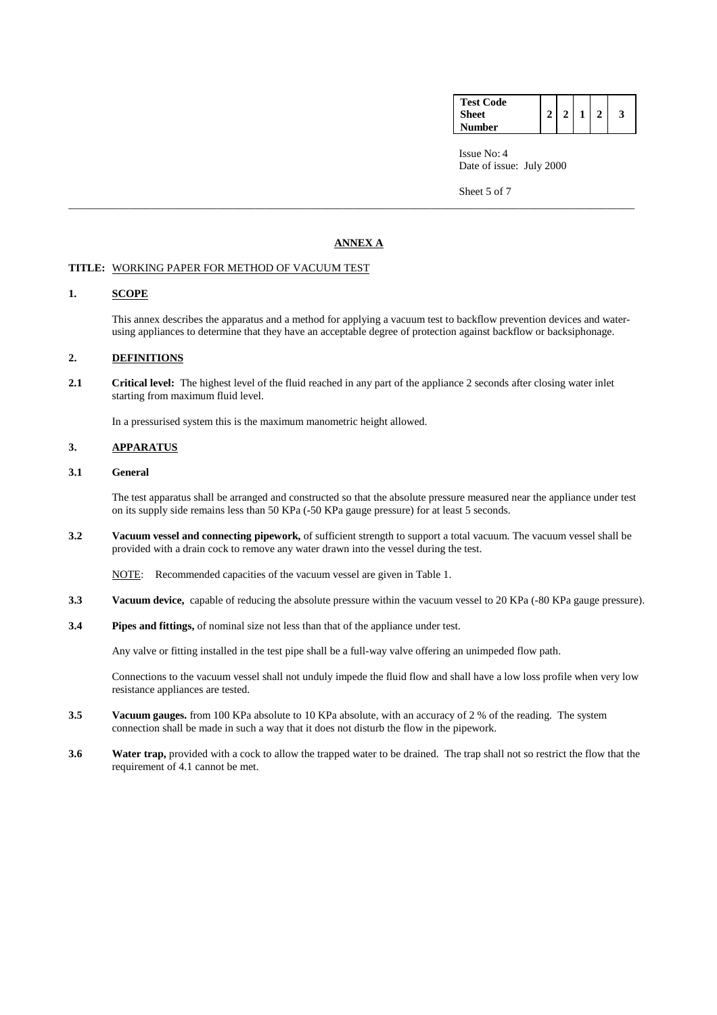| <b>Test Code</b> |  |  |  |
|------------------|--|--|--|
| <b>Sheet</b>     |  |  |  |
| <b>Number</b>    |  |  |  |

Sheet 5 of 7

# **ANNEX A**

\_\_\_\_\_\_\_\_\_\_\_\_\_\_\_\_\_\_\_\_\_\_\_\_\_\_\_\_\_\_\_\_\_\_\_\_\_\_\_\_\_\_\_\_\_\_\_\_\_\_\_\_\_\_\_\_\_\_\_\_\_\_\_\_\_\_\_\_\_\_\_\_\_\_\_\_\_\_\_\_\_\_\_\_\_\_\_\_\_\_\_\_\_\_\_\_\_\_\_\_\_\_\_

#### **TITLE:** WORKING PAPER FOR METHOD OF VACUUM TEST

#### **1. SCOPE**

 This annex describes the apparatus and a method for applying a vacuum test to backflow prevention devices and waterusing appliances to determine that they have an acceptable degree of protection against backflow or backsiphonage.

# **2. DEFINITIONS**

2.1 Critical level: The highest level of the fluid reached in any part of the appliance 2 seconds after closing water inlet starting from maximum fluid level.

In a pressurised system this is the maximum manometric height allowed.

# **3. APPARATUS**

# **3.1 General**

 The test apparatus shall be arranged and constructed so that the absolute pressure measured near the appliance under test on its supply side remains less than 50 KPa (-50 KPa gauge pressure) for at least 5 seconds.

**3.2 Vacuum vessel and connecting pipework,** of sufficient strength to support a total vacuum. The vacuum vessel shall be provided with a drain cock to remove any water drawn into the vessel during the test.

NOTE: Recommended capacities of the vacuum vessel are given in Table 1.

- **3.3 Vacuum device,** capable of reducing the absolute pressure within the vacuum vessel to 20 KPa (-80 KPa gauge pressure).
- **3.4 Pipes and fittings,** of nominal size not less than that of the appliance under test.

Any valve or fitting installed in the test pipe shall be a full-way valve offering an unimpeded flow path.

Connections to the vacuum vessel shall not unduly impede the fluid flow and shall have a low loss profile when very low resistance appliances are tested.

- **3.5 Vacuum gauges.** from 100 KPa absolute to 10 KPa absolute, with an accuracy of 2 % of the reading. The system connection shall be made in such a way that it does not disturb the flow in the pipework.
- **3.6** Water trap, provided with a cock to allow the trapped water to be drained. The trap shall not so restrict the flow that the requirement of 4.1 cannot be met.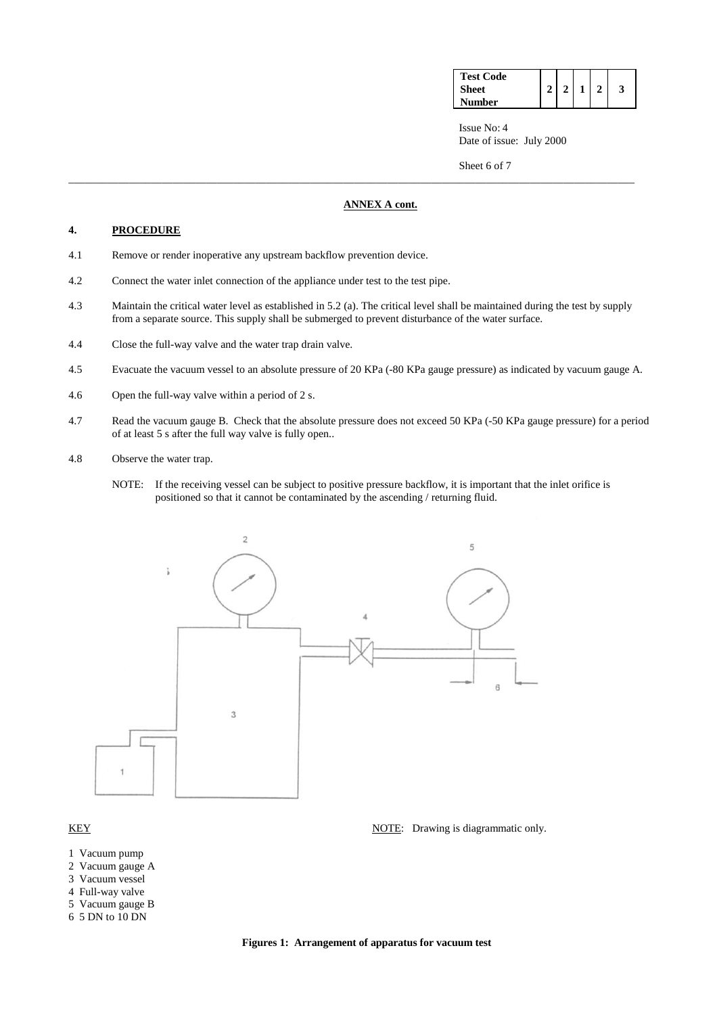| <b>Test Code</b> |  |  |  |
|------------------|--|--|--|
| <b>Sheet</b>     |  |  |  |
| Number           |  |  |  |

Sheet 6 of 7

# **ANNEX A cont.**

# **4. PROCEDURE**

- 4.1 Remove or render inoperative any upstream backflow prevention device.
- 4.2 Connect the water inlet connection of the appliance under test to the test pipe.
- 4.3 Maintain the critical water level as established in 5.2 (a). The critical level shall be maintained during the test by supply from a separate source. This supply shall be submerged to prevent disturbance of the water surface.

\_\_\_\_\_\_\_\_\_\_\_\_\_\_\_\_\_\_\_\_\_\_\_\_\_\_\_\_\_\_\_\_\_\_\_\_\_\_\_\_\_\_\_\_\_\_\_\_\_\_\_\_\_\_\_\_\_\_\_\_\_\_\_\_\_\_\_\_\_\_\_\_\_\_\_\_\_\_\_\_\_\_\_\_\_\_\_\_\_\_\_\_\_\_\_\_\_\_\_\_\_\_\_

- 4.4 Close the full-way valve and the water trap drain valve.
- 4.5 Evacuate the vacuum vessel to an absolute pressure of 20 KPa (-80 KPa gauge pressure) as indicated by vacuum gauge A.
- 4.6 Open the full-way valve within a period of 2 s.
- 4.7 Read the vacuum gauge B. Check that the absolute pressure does not exceed 50 KPa (-50 KPa gauge pressure) for a period of at least 5 s after the full way valve is fully open..
- 4.8 Observe the water trap.
	- NOTE: If the receiving vessel can be subject to positive pressure backflow, it is important that the inlet orifice is positioned so that it cannot be contaminated by the ascending / returning fluid.



- 1 Vacuum pump
- 2 Vacuum gauge A
- 3 Vacuum vessel
- 4 Full-way valve
- 5 Vacuum gauge B
- 6 5 DN to 10 DN
- KEY NOTE: Drawing is diagrammatic only.

**Figures 1: Arrangement of apparatus for vacuum test**